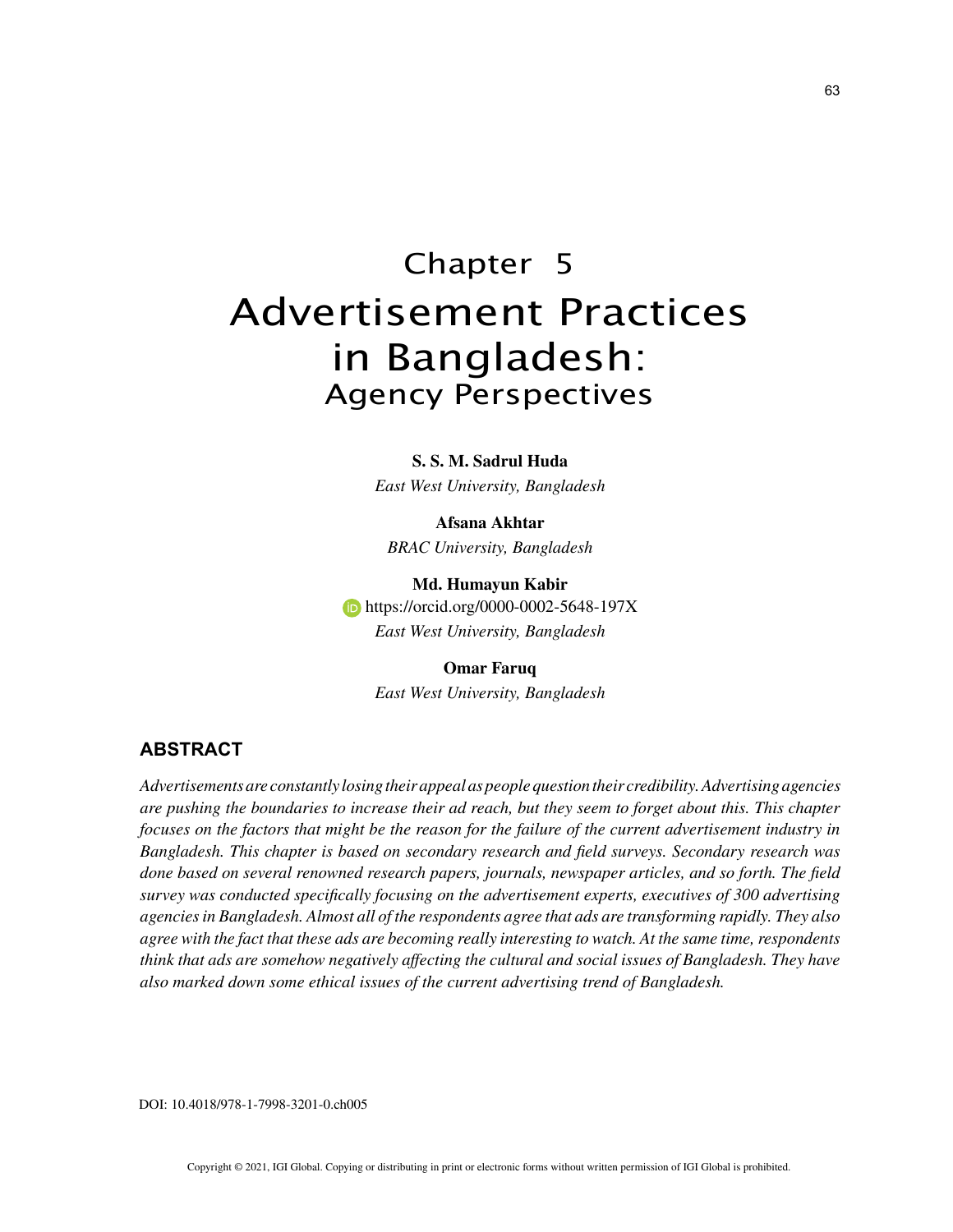# Chapter 5 Advertisement Practices in Bangladesh: Agency Perspectives

**S. S. M. Sadrul Huda**

*East West University, Bangladesh*

**Afsana Akhtar** *BRAC University, Bangladesh*

**Md. Humayun Kabir https://orcid.org/0000-0002-5648-197X** *East West University, Bangladesh*

> **Omar Faruq** *East West University, Bangladesh*

## **ABSTRACT**

*Advertisements are constantly losing their appeal as people question their credibility. Advertising agencies are pushing the boundaries to increase their ad reach, but they seem to forget about this. This chapter focuses on the factors that might be the reason for the failure of the current advertisement industry in Bangladesh. This chapter is based on secondary research and field surveys. Secondary research was done based on several renowned research papers, journals, newspaper articles, and so forth. The field survey was conducted specifically focusing on the advertisement experts, executives of 300 advertising agencies in Bangladesh. Almost all of the respondents agree that ads are transforming rapidly. They also agree with the fact that these ads are becoming really interesting to watch. At the same time, respondents think that ads are somehow negatively affecting the cultural and social issues of Bangladesh. They have also marked down some ethical issues of the current advertising trend of Bangladesh.*

DOI: 10.4018/978-1-7998-3201-0.ch005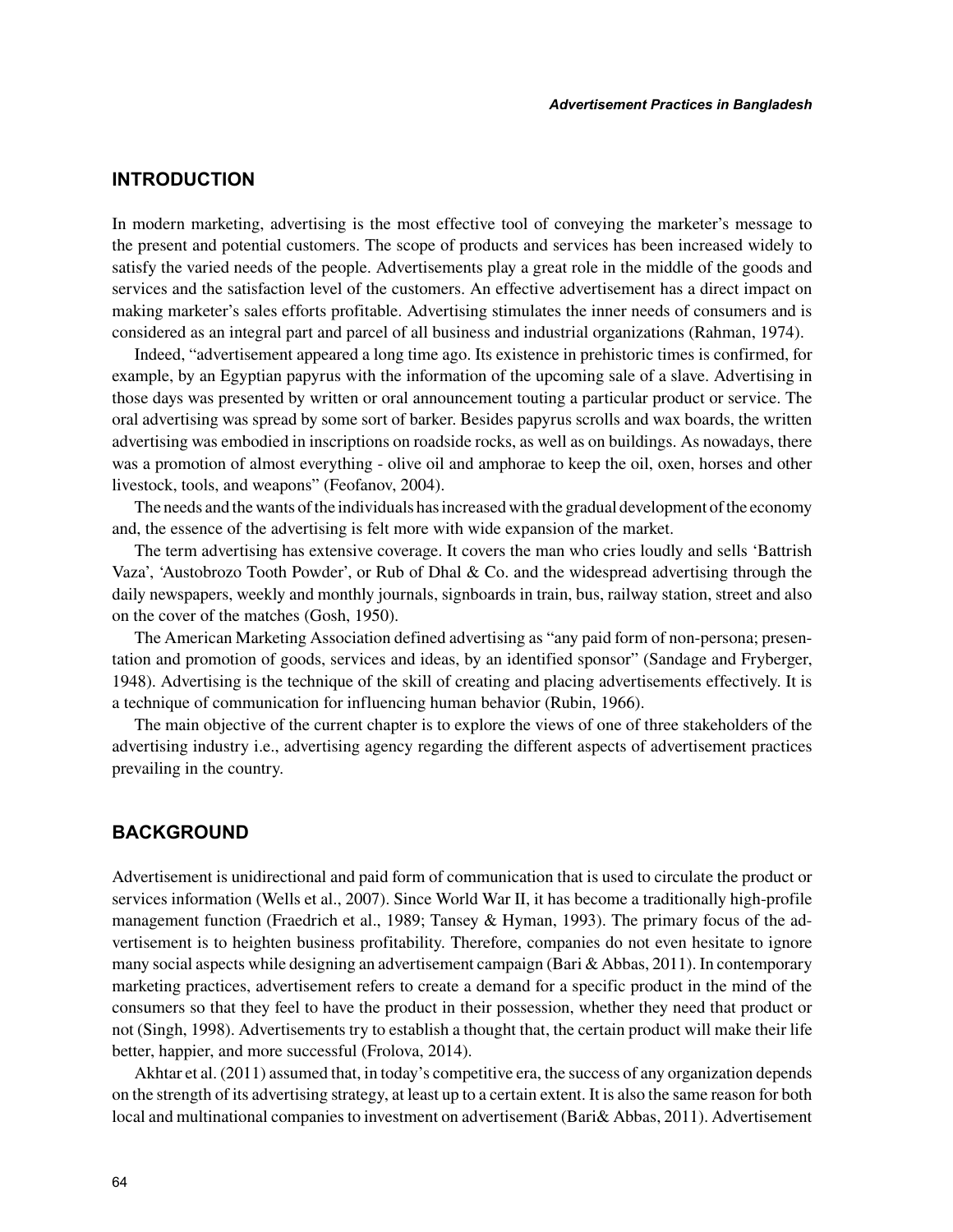## **INTRODUCTION**

In modern marketing, advertising is the most effective tool of conveying the marketer's message to the present and potential customers. The scope of products and services has been increased widely to satisfy the varied needs of the people. Advertisements play a great role in the middle of the goods and services and the satisfaction level of the customers. An effective advertisement has a direct impact on making marketer's sales efforts profitable. Advertising stimulates the inner needs of consumers and is considered as an integral part and parcel of all business and industrial organizations (Rahman, 1974).

Indeed, "advertisement appeared a long time ago. Its existence in prehistoric times is confirmed, for example, by an Egyptian papyrus with the information of the upcoming sale of a slave. Advertising in those days was presented by written or oral announcement touting a particular product or service. The oral advertising was spread by some sort of barker. Besides papyrus scrolls and wax boards, the written advertising was embodied in inscriptions on roadside rocks, as well as on buildings. As nowadays, there was a promotion of almost everything - olive oil and amphorae to keep the oil, oxen, horses and other livestock, tools, and weapons" (Feofanov, 2004).

The needs and the wants of the individuals has increased with the gradual development of the economy and, the essence of the advertising is felt more with wide expansion of the market.

The term advertising has extensive coverage. It covers the man who cries loudly and sells 'Battrish Vaza', 'Austobrozo Tooth Powder', or Rub of Dhal & Co. and the widespread advertising through the daily newspapers, weekly and monthly journals, signboards in train, bus, railway station, street and also on the cover of the matches (Gosh, 1950).

The American Marketing Association defined advertising as "any paid form of non-persona; presentation and promotion of goods, services and ideas, by an identified sponsor" (Sandage and Fryberger, 1948). Advertising is the technique of the skill of creating and placing advertisements effectively. It is a technique of communication for influencing human behavior (Rubin, 1966).

The main objective of the current chapter is to explore the views of one of three stakeholders of the advertising industry i.e., advertising agency regarding the different aspects of advertisement practices prevailing in the country.

## **BACKGROUND**

Advertisement is unidirectional and paid form of communication that is used to circulate the product or services information (Wells et al., 2007). Since World War II, it has become a traditionally high-profile management function (Fraedrich et al., 1989; Tansey & Hyman, 1993). The primary focus of the advertisement is to heighten business profitability. Therefore, companies do not even hesitate to ignore many social aspects while designing an advertisement campaign (Bari & Abbas, 2011). In contemporary marketing practices, advertisement refers to create a demand for a specific product in the mind of the consumers so that they feel to have the product in their possession, whether they need that product or not (Singh, 1998). Advertisements try to establish a thought that, the certain product will make their life better, happier, and more successful (Frolova, 2014).

Akhtar et al. (2011) assumed that, in today's competitive era, the success of any organization depends on the strength of its advertising strategy, at least up to a certain extent. It is also the same reason for both local and multinational companies to investment on advertisement (Bari& Abbas, 2011). Advertisement